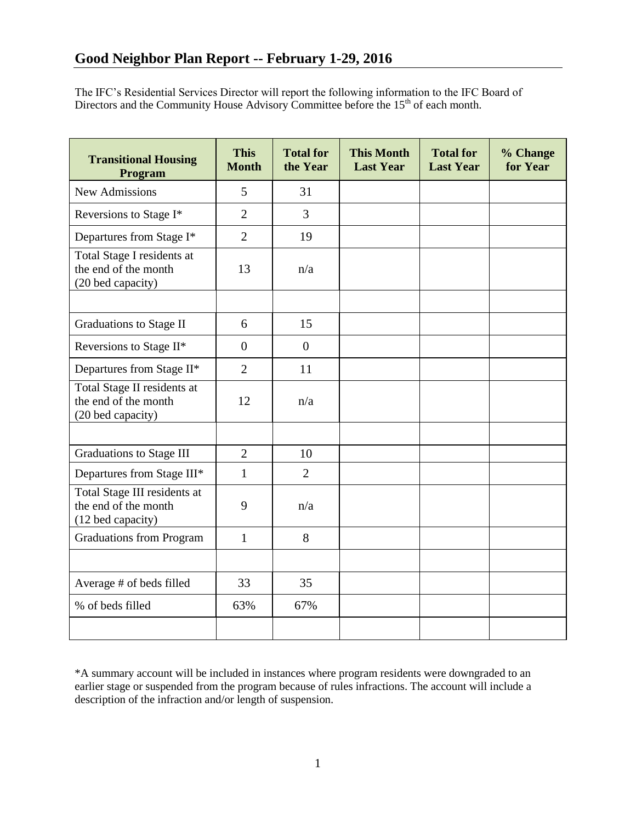The IFC's Residential Services Director will report the following information to the IFC Board of Directors and the Community House Advisory Committee before the  $15<sup>th</sup>$  of each month.

| <b>Transitional Housing</b><br>Program                                    | <b>This</b><br><b>Month</b> | <b>Total for</b><br>the Year | <b>This Month</b><br><b>Last Year</b> | <b>Total for</b><br><b>Last Year</b> | % Change<br>for Year |
|---------------------------------------------------------------------------|-----------------------------|------------------------------|---------------------------------------|--------------------------------------|----------------------|
| <b>New Admissions</b>                                                     | 5                           | 31                           |                                       |                                      |                      |
| Reversions to Stage I*                                                    | $\overline{2}$              | $\overline{3}$               |                                       |                                      |                      |
| Departures from Stage I*                                                  | $\overline{2}$              | 19                           |                                       |                                      |                      |
| Total Stage I residents at<br>the end of the month<br>(20 bed capacity)   | 13                          | n/a                          |                                       |                                      |                      |
|                                                                           |                             |                              |                                       |                                      |                      |
| Graduations to Stage II                                                   | 6                           | 15                           |                                       |                                      |                      |
| Reversions to Stage II*                                                   | $\overline{0}$              | $\theta$                     |                                       |                                      |                      |
| Departures from Stage II*                                                 | $\overline{2}$              | 11                           |                                       |                                      |                      |
| Total Stage II residents at<br>the end of the month<br>(20 bed capacity)  | 12                          | n/a                          |                                       |                                      |                      |
|                                                                           |                             |                              |                                       |                                      |                      |
| Graduations to Stage III                                                  | $\overline{2}$              | 10                           |                                       |                                      |                      |
| Departures from Stage III*                                                | $\mathbf{1}$                | $\overline{2}$               |                                       |                                      |                      |
| Total Stage III residents at<br>the end of the month<br>(12 bed capacity) | 9                           | n/a                          |                                       |                                      |                      |
| <b>Graduations from Program</b>                                           | $\mathbf{1}$                | 8                            |                                       |                                      |                      |
|                                                                           |                             |                              |                                       |                                      |                      |
| Average # of beds filled                                                  | 33                          | 35                           |                                       |                                      |                      |
| % of beds filled                                                          | 63%                         | 67%                          |                                       |                                      |                      |
|                                                                           |                             |                              |                                       |                                      |                      |

\*A summary account will be included in instances where program residents were downgraded to an earlier stage or suspended from the program because of rules infractions. The account will include a description of the infraction and/or length of suspension.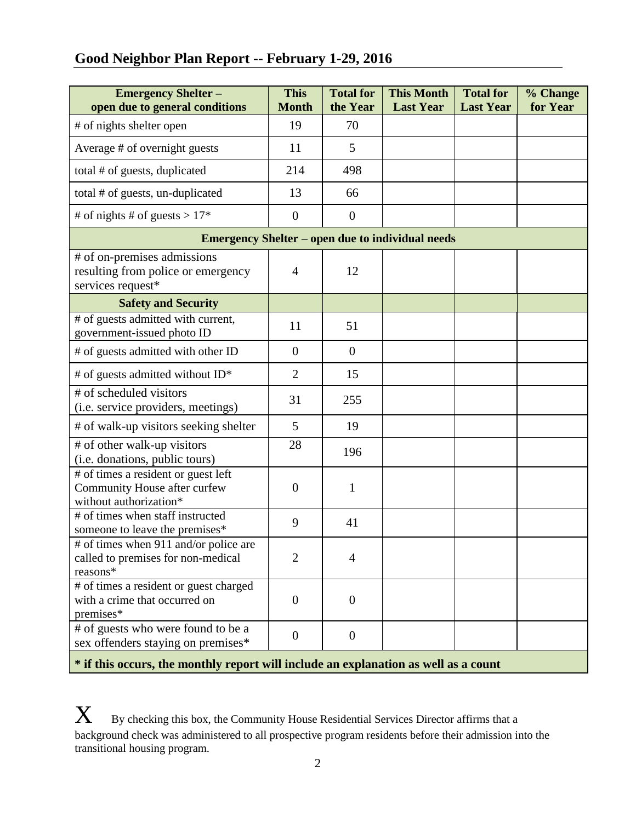# **Good Neighbor Plan Report -- February 1-29, 2016**

| <b>Emergency Shelter -</b><br>open due to general conditions                                  | <b>This</b><br><b>Month</b> | <b>Total for</b><br>the Year | <b>This Month</b><br><b>Last Year</b> | <b>Total for</b><br><b>Last Year</b> | % Change<br>for Year |  |  |  |
|-----------------------------------------------------------------------------------------------|-----------------------------|------------------------------|---------------------------------------|--------------------------------------|----------------------|--|--|--|
| # of nights shelter open                                                                      | 19                          | 70                           |                                       |                                      |                      |  |  |  |
| Average # of overnight guests                                                                 | 11                          | 5                            |                                       |                                      |                      |  |  |  |
| total # of guests, duplicated                                                                 | 214                         | 498                          |                                       |                                      |                      |  |  |  |
| total # of guests, un-duplicated                                                              | 13                          | 66                           |                                       |                                      |                      |  |  |  |
| # of nights # of guests > $17*$                                                               | $\theta$                    | $\theta$                     |                                       |                                      |                      |  |  |  |
| <b>Emergency Shelter – open due to individual needs</b>                                       |                             |                              |                                       |                                      |                      |  |  |  |
| # of on-premises admissions<br>resulting from police or emergency<br>services request*        | $\overline{4}$              | 12                           |                                       |                                      |                      |  |  |  |
| <b>Safety and Security</b>                                                                    |                             |                              |                                       |                                      |                      |  |  |  |
| # of guests admitted with current,<br>government-issued photo ID                              | 11                          | 51                           |                                       |                                      |                      |  |  |  |
| # of guests admitted with other ID                                                            | $\overline{0}$              | $\theta$                     |                                       |                                      |                      |  |  |  |
| # of guests admitted without ID*                                                              | $\overline{2}$              | 15                           |                                       |                                      |                      |  |  |  |
| # of scheduled visitors<br>(i.e. service providers, meetings)                                 | 31                          | 255                          |                                       |                                      |                      |  |  |  |
| # of walk-up visitors seeking shelter                                                         | 5                           | 19                           |                                       |                                      |                      |  |  |  |
| # of other walk-up visitors<br>(i.e. donations, public tours)                                 | 28                          | 196                          |                                       |                                      |                      |  |  |  |
| # of times a resident or guest left<br>Community House after curfew<br>without authorization* | $\theta$                    | $\mathbf{1}$                 |                                       |                                      |                      |  |  |  |
| # of times when staff instructed<br>someone to leave the premises*                            | 9                           | 41                           |                                       |                                      |                      |  |  |  |
| # of times when 911 and/or police are<br>called to premises for non-medical<br>reasons*       | $\overline{2}$              | $\overline{4}$               |                                       |                                      |                      |  |  |  |
| # of times a resident or guest charged<br>with a crime that occurred on<br>premises*          | $\overline{0}$              | $\theta$                     |                                       |                                      |                      |  |  |  |
| # of guests who were found to be a<br>sex offenders staying on premises*                      | $\boldsymbol{0}$            | $\overline{0}$               |                                       |                                      |                      |  |  |  |

**\* if this occurs, the monthly report will include an explanation as well as a count**

 $\boldsymbol{X}$  By checking this box, the Community House Residential Services Director affirms that a background check was administered to all prospective program residents before their admission into the transitional housing program.